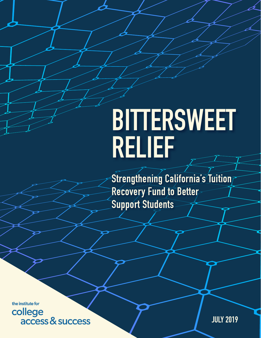# **BITTERSWEET RELIEF**

**Strengthening California's Tuition Recovery Fund to Better Support Students**

the institute for college access & success

**JULY 2019**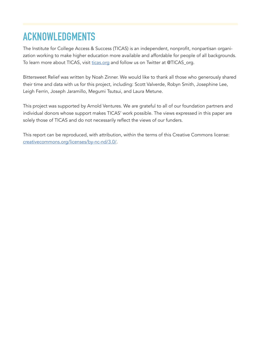# **ACKNOWLEDGMENTS**

The Institute for College Access & Success (TICAS) is an independent, nonprofit, nonpartisan organization working to make higher education more available and affordable for people of all backgrounds. To learn more about TICAS, visit [ticas.org](http://ticas.org) and follow us on Twitter at @TICAS\_org.

Bittersweet Relief was written by Noah Zinner. We would like to thank all those who generously shared their time and data with us for this project, including: Scott Valverde, Robyn Smith, Josephine Lee, Leigh Ferrin, Joseph Jaramillo, Megumi Tsutsui, and Laura Metune.

This project was supported by Arnold Ventures. We are grateful to all of our foundation partners and individual donors whose support makes TICAS' work possible. The views expressed in this paper are solely those of TICAS and do not necessarily reflect the views of our funders.

This report can be reproduced, with attribution, within the terms of this Creative Commons license: [creativecommons.org/licenses/by-nc-nd/3.0/](http://creativecommons.org/licenses/by-nc-nd/3.0/).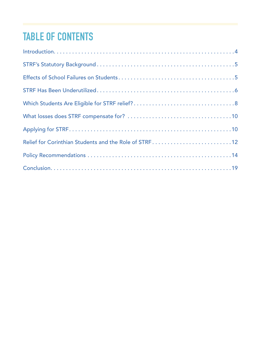# **TABLE OF CONTENTS**

| Relief for Corinthian Students and the Role of STRF12 |
|-------------------------------------------------------|
|                                                       |
|                                                       |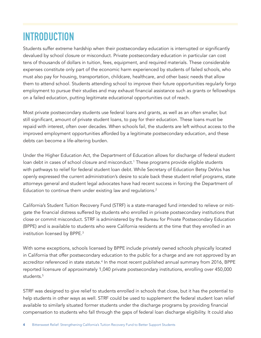# <span id="page-3-0"></span>**INTRODUCTION**

Students suffer extreme hardship when their postsecondary education is interrupted or significantly devalued by school closure or misconduct. Private postsecondary education in particular can cost tens of thousands of dollars in tuition, fees, equipment, and required materials. These considerable expenses constitute only part of the economic harm experienced by students of failed schools, who must also pay for housing, transportation, childcare, healthcare, and other basic needs that allow them to attend school. Students attending school to improve their future opportunities regularly forgo employment to pursue their studies and may exhaust financial assistance such as grants or fellowships on a failed education, putting legitimate educational opportunities out of reach.

Most private postsecondary students use federal loans and grants, as well as an often smaller, but still significant, amount of private student loans, to pay for their education. These loans must be repaid with interest, often over decades. When schools fail, the students are left without access to the improved employment opportunities afforded by a legitimate postsecondary education, and these debts can become a life-altering burden.

Under the Higher Education Act, the Department of Education allows for discharge of federal student loan debt in cases of school closure and misconduct.<sup>1</sup> These programs provide eligible students with pathways to relief for federal student loan debt. While Secretary of Education Betsy DeVos has openly expressed the current administration's desire to scale back these student relief programs, state attorneys general and student legal advocates have had recent success in forcing the Department of Education to continue them under existing law and regulations.<sup>[2](#page-19-0)</sup>

California's Student Tuition Recovery Fund (STRF) is a state-managed fund intended to relieve or mitigate the financial distress suffered by students who enrolled in private postsecondary institutions that close or commit misconduct. STRF is administered by the Bureau for Private Postsecondary Education (BPPE) and is available to students who were California residents at the time that they enrolled in an institution licensed by BPPE[.3](#page-19-0)

With some exceptions, schools licensed by BPPE include privately owned schools physically located in California that offer postsecondary education to the public for a charge and are not approved by an accreditor referenced in state statute.<sup>4</sup> In the most recent published annual summary from 2016, BPPE reported licensure of approximately 1,040 private postsecondary institutions, enrolling over 450,000 students.[5](#page-19-0)

STRF was designed to give relief to students enrolled in schools that close, but it has the potential to help students in other ways as well. STRF could be used to supplement the federal student loan relief available to similarly situated former students under the discharge programs by providing financial compensation to students who fall through the gaps of federal loan discharge eligibility. It could also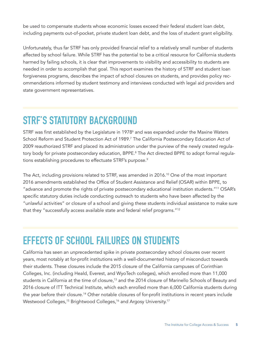<span id="page-4-0"></span>be used to compensate students whose economic losses exceed their federal student loan debt, including payments out-of-pocket, private student loan debt, and the loss of student grant eligibility.

Unfortunately, thus far STRF has only provided financial relief to a relatively small number of students affected by school failure. While STRF has the potential to be a critical resource for California students harmed by failing schools, it is clear that improvements to visibility and accessibility to students are needed in order to accomplish that goal. This report examines the history of STRF and student loan forgiveness programs, describes the impact of school closures on students, and provides policy recommendations informed by student testimony and interviews conducted with legal aid providers and state government representatives.

# **STRF'S STATUTORY BACKGROUND**

STRF was first established by the Legislature in 1978 $^{\circ}$  and was expanded under the Maxine Waters School Reform and Student Protection Act of 1989.<sup>7</sup> The California Postsecondary Education Act of 2009 reauthorized STRF and placed its administration under the purview of the newly created regula-tory body for private postsecondary education, BPPE.<sup>[8](#page-19-0)</sup> The Act directed BPPE to adopt formal regula-tions establishing procedures to effectuate STRF's purpose.<sup>[9](#page-19-0)</sup>

The Act, including provisions related to STRF, was amended in 2016.<sup>10</sup> One of the most important 2016 amendments established the Office of Student Assistance and Relief (OSAR) within BPPE, to "advance and promote the rights of private postsecondary educational institution students."[11](#page-19-0) OSAR's specific statutory duties include conducting outreach to students who have been affected by the "unlawful activities" or closure of a school and giving these students individual assistance to make sure that they "successfully access available state and federal relief programs."[12](#page-19-0)

### **EFFECTS OF SCHOOL FAILURES ON STUDENTS**

California has seen an unprecedented spike in private postsecondary school closures over recent years, most notably at for-profit institutions with a well-documented history of misconduct towards their students. These closures include the 2015 closure of the California campuses of Corinthian Colleges, Inc. (including Heald, Everest, and WyoTech colleges), which enrolled more than 11,000 students in California at the time of closure,<sup>13</sup> and the 2014 closure of Marinello Schools of Beauty and 2016 closure of ITT Technical Institute, which each enrolled more than 6,000 California students during the year before their closure.<sup>14</sup> Other notable closures of for-profit institutions in recent years include Westwood Colleges,<sup>15</sup> Brightwood Colleges,<sup>16</sup> and Argosy University.<sup>[17](#page-19-0)</sup>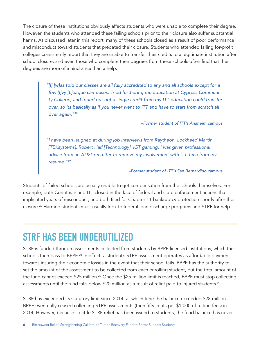<span id="page-5-0"></span>The closure of these institutions obviously affects students who were unable to complete their degree. However, the students who attended these failing schools prior to their closure also suffer substantial harms. As discussed later in this report, many of these schools closed as a result of poor performance and misconduct toward students that predated their closure. Students who attended failing for-profit colleges consistently report that they are unable to transfer their credits to a legitimate institution after school closure, and even those who complete their degrees from these schools often find that their degrees are more of a hindrance than a help.

> *"[I] [w]as told our classes are all fully accredited to any and all schools except for a few [I]vy [L]eague campuses. Tried furthering me education at Cypress Community College, and found out not a single credit from my ITT education could transfer over, so its basically as if you never went to ITT and have to start from scratch all over again."[18](#page-19-0)*

> > *–Former student of ITT's Anaheim campus*

*"I have been laughed at during job interviews from Raytheon, Lockheed Martin, [TEKsystems], Robert Half [Technology], IGT gaming. I was given professional advice from an AT&T recruiter to remove my involvement with ITT Tech from my resume."[19](#page-19-0)*

#### *–Former student of ITT's San Bernardino campus*

Students of failed schools are usually unable to get compensation from the schools themselves. For example, both Corinthian and ITT closed in the face of federal and state enforcement actions that implicated years of misconduct, and both filed for Chapter 11 bankruptcy protection shortly after their closure.[20](#page-19-0) Harmed students must usually look to federal loan discharge programs and STRF for help.

### **STRF HAS BEEN UNDERUTILIZED**

STRF is funded through assessments collected from students by BPPE licensed institutions, which the schools then pass to BPPE.<sup>21</sup> In effect, a student's STRF assessment operates as affordable payment towards insuring their economic losses in the event that their school fails. BPPE has the authority to set the amount of the assessment to be collected from each enrolling student, but the total amount of the fund cannot exceed \$25 million.<sup>22</sup> Once the \$25 million limit is reached, BPPE must stop collecting assessments until the fund falls below \$20 million as a result of relief paid to injured students.<sup>[23](#page-19-0)</sup>

STRF has exceeded its statutory limit since 2014, at which time the balance exceeded \$28 million. BPPE eventually ceased collecting STRF assessments (then fifty cents per \$1,000 of tuition fees) in 2014. However, because so little STRF relief has been issued to students, the fund balance has never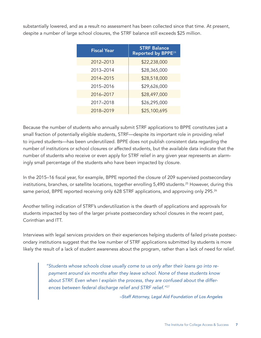<span id="page-6-0"></span>substantially lowered, and as a result no assessment has been collected since that time. At present, despite a number of large school closures, the STRF balance still exceeds \$25 million.

| <b>Fiscal Year</b> | <b>STRF Balance</b><br>Reported by BPPE <sup>24</sup> |  |  |  |
|--------------------|-------------------------------------------------------|--|--|--|
| 2012-2013          | \$22,238,000                                          |  |  |  |
| 2013-2014          | \$28,365,000                                          |  |  |  |
| 2014-2015          | \$28,518,000                                          |  |  |  |
| 2015-2016          | \$29,626,000                                          |  |  |  |
| 2016-2017          | \$28,497,000                                          |  |  |  |
| 2017-2018          | \$26,295,000                                          |  |  |  |
| 2018-2019          | \$25,100,695                                          |  |  |  |

Because the number of students who annually submit STRF applications to BPPE constitutes just a small fraction of potentially eligible students, STRF—despite its important role in providing relief to injured students—has been underutilized. BPPE does not publish consistent data regarding the number of institutions or school closures or affected students, but the available data indicate that the number of students who receive or even apply for STRF relief in any given year represents an alarmingly small percentage of the students who have been impacted by closure.

In the 2015–16 fiscal year, for example, BPPE reported the closure of 209 supervised postsecondary institutions, branches, or satellite locations, together enrolling 5,490 students.<sup>25</sup> However, during this same period, BPPE reported receiving only 628 STRF applications, and approving only 295.<sup>[26](#page-20-0)</sup>

Another telling indication of STRF's underutilization is the dearth of applications and approvals for students impacted by two of the larger private postsecondary school closures in the recent past, Corinthian and ITT.

Interviews with legal services providers on their experiences helping students of failed private postsecondary institutions suggest that the low number of STRF applications submitted by students is more likely the result of a lack of student awareness about the program, rather than a lack of need for relief.

> *"Students whose schools close usually come to us only after their loans go into repayment around six months after they leave school. None of these students know about STRF. Even when I explain the process, they are confused about the differences between federal discharge relief and STRF relief."*[27](#page-20-0)

> > *–Staff Attorney, Legal Aid Foundation of Los Angeles*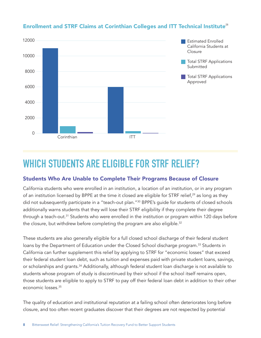

### <span id="page-7-0"></span>Enrollment and STRF Claims at Corinthian Colleges and ITT Technical Institute<sup>[28](#page-20-0)</sup>

### **WHICH STUDENTS ARE ELIGIBLE FOR STRF RELIEF?**

#### Students Who Are Unable to Complete Their Programs Because of Closure

California students who were enrolled in an institution, a location of an institution, or in any program of an institution licensed by BPPE at the time it closed are eligible for STRF relief,<sup>[29](#page-20-0)</sup> as long as they did not subsequently participate in a "teach-out plan."<sup>30</sup> BPPE's guide for students of closed schools additionally warns students that they will lose their STRF eligibility if they complete their degree through a teach-out.<sup>31</sup> Students who were enrolled in the institution or program within 120 days before the closure, but withdrew before completing the program are also eligible.<sup>[32](#page-20-0)</sup>

These students are also generally eligible for a full closed school discharge of their federal student loans by the Department of Education under the Closed School discharge program.<sup>33</sup> Students in California can further supplement this relief by applying to STRF for "economic losses" that exceed their federal student loan debt, such as tuition and expenses paid with private student loans, savings, or scholarships and grants.<sup>[34](#page-20-0)</sup> Additionally, although federal student loan discharge is not available to students whose program of study is discontinued by their school if the school itself remains open, those students are eligible to apply to STRF to pay off their federal loan debt in addition to their other economic losses[.35](#page-20-0)

The quality of education and institutional reputation at a failing school often deteriorates long before closure, and too often recent graduates discover that their degrees are not respected by potential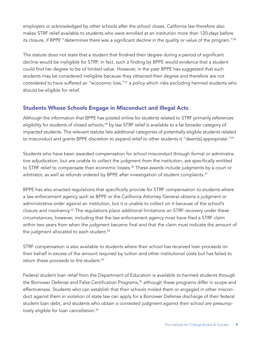<span id="page-8-0"></span>employers or acknowledged by other schools after the school closes. California law therefore also makes STRF relief available to students who were enrolled at an institution more than 120-days before its closure, if BPPE "determines there was a significant decline in the quality or value of the program."[36](#page-20-0)

The statute does not state that a student that finished their degree during a period of significant decline would be ineligible for STRF. In fact, such a finding by BPPE would evidence that a student could find her degree to be of limited value. However, in the past BPPE has suggested that such students may be considered ineligible because they obtained their degree and therefore are not considered to have suffered an "economic loss,"<sup>[37](#page-20-0)</sup> a policy which risks excluding harmed students who should be eligible for relief.

#### Students Whose Schools Engage in Misconduct and Illegal Acts

Although the information that BPPE has posted online for students related to STRF primarily references eligibility for students of closed schools,<sup>[38](#page-20-0)</sup> by law STRF relief is available to a far broader category of impacted students. The relevant statute lists additional categories of potentially eligible students related to misconduct and grants BPPE discretion to expand relief to other students it "deem[s] appropriate."<sup>[39](#page-20-0)</sup>

Students who have been awarded compensation for school misconduct through formal or administrative adjudication, but are unable to collect the judgment from the institution, are specifically entitled to STRF relief to compensate their economic losses.<sup>40</sup> These awards include judgments by a court or arbitrator, as well as refunds ordered by BPPE after investigation of student complaints.<sup>41</sup>

BPPE has also enacted regulations that specifically provide for STRF compensation to students where a law enforcement agency such as BPPE or the California Attorney General obtains a judgment or administrative order against an institution, but it is unable to collect on it because of the school's closure and insolvency[.42](#page-20-0) The regulations place additional limitations on STRF recovery under these circumstances, however, including that the law enforcement agency must have filed a STRF claim within two years from when the judgment became final and that the claim must indicate the amount of the judgment allocated to each student.<sup>43</sup>

STRF compensation is also available to students where their school has received loan proceeds on their behalf in excess of the amount required by tuition and other institutional costs but has failed to return these proceeds to the student[.44](#page-20-0)

Federal student loan relief from the Department of Education is available to harmed students through the Borrower Defense and False Certification Programs,<sup>45</sup> although these programs differ in scope and effectiveness. Students who can establish that their schools misled them or engaged in other misconduct against them in violation of state law can apply for a Borrower Defense discharge of their federal student loan debt, and students who obtain a contested judgment against their school are presumptively eligible for loan cancellation.<sup>46</sup>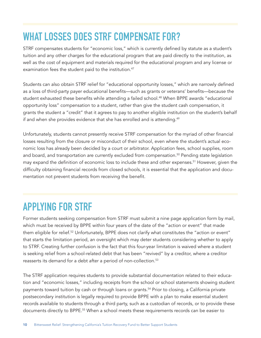# <span id="page-9-0"></span>**WHAT LOSSES DOES STRF COMPENSATE FOR?**

STRF compensates students for "economic loss," which is currently defined by statute as a student's tuition and any other charges for the educational program that are paid directly to the institution, as well as the cost of equipment and materials required for the educational program and any license or examination fees the student paid to the institution.<sup>[47](#page-20-0)</sup>

Students can also obtain STRF relief for "educational opportunity losses," which are narrowly defined as a loss of third-party payer educational benefits—such as grants or veterans' benefits—because the student exhausted these benefits while attending a failed school.<sup>[48](#page-20-0)</sup> When BPPE awards "educational opportunity loss" compensation to a student, rather than give the student cash compensation, it grants the student a "credit" that it agrees to pay to another eligible institution on the student's behalf if and when she provides evidence that she has enrolled and is attending.<sup>[49](#page-20-0)</sup>

Unfortunately, students cannot presently receive STRF compensation for the myriad of other financial losses resulting from the closure or misconduct of their school, even where the student's actual economic loss has already been decided by a court or arbitrator. Application fees, school supplies, room and board, and transportation are currently excluded from compensation.<sup>50</sup> Pending state legislation may expand the definition of economic loss to include these and other expenses.<sup>[51](#page-20-0)</sup> However, given the difficulty obtaining financial records from closed schools, it is essential that the application and documentation not prevent students from receiving the benefit.

# **APPLYING FOR STRF**

Former students seeking compensation from STRF must submit a nine page application form by mail, which must be received by BPPE within four years of the date of the "action or event" that made them eligible for relief.<sup>52</sup> Unfortunately, BPPE does not clarify what constitutes the "action or event" that starts the limitation period, an oversight which may deter students considering whether to apply to STRF. Creating further confusion is the fact that this four-year limitation is waived where a student is seeking relief from a school-related debt that has been "revived" by a creditor, where a creditor reasserts its demand for a debt after a period of non-collection.<sup>[53](#page-20-0)</sup>

The STRF application requires students to provide substantial documentation related to their education and "economic losses," including receipts from the school or school statements showing student payments toward tuition by cash or through loans or grants.<sup>54</sup> Prior to closing, a California private postsecondary institution is legally required to provide BPPE with a plan to make essential student records available to students through a third party, such as a custodian of records, or to provide these documents directly to BPPE.<sup>[55](#page-20-0)</sup> When a school meets these requirements records can be easier to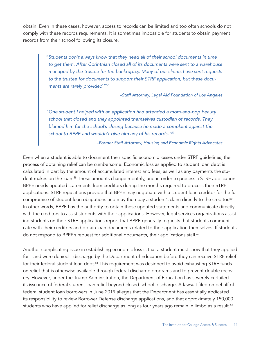<span id="page-10-0"></span>obtain. Even in these cases, however, access to records can be limited and too often schools do not comply with these records requirements. It is sometimes impossible for students to obtain payment records from their school following its closure.

> "*Students don't always know that they need all of their school documents in time*  to get them. After Corinthian closed all of its documents were sent to a warehouse *managed by the trustee for the bankruptcy. Many of our clients have sent requests to the trustee for documents to support their STRF application, but these documents are rarely provided*.["56](#page-20-0)

> > *–Staff Attorney, Legal Aid Foundation of Los Angeles*

*"One student I helped with an application had attended a mom-and-pop beauty school that closed and they appointed themselves custodian of records. They blamed him for the school's closing because he made a complaint against the school to BPPE and wouldn't give him any of his records."[57](#page-21-0)*

*–Former Staff Attorney, Housing and Economic Rights Advocates*

Even when a student is able to document their specific economic losses under STRF guidelines, the process of obtaining relief can be cumbersome. Economic loss as applied to student loan debt is calculated in part by the amount of accumulated interest and fees, as well as any payments the stu-dent makes on the loan.<sup>[58](#page-21-0)</sup> These amounts change monthly, and in order to process a STRF application BPPE needs updated statements from creditors during the months required to process their STRF applications. STRF regulations provide that BPPE may negotiate with a student loan creditor for the full compromise of student loan obligations and may then pay a student's claim directly to the creditor.[59](#page-21-0) In other words, BPPE has the authority to obtain these updated statements and communicate directly with the creditors to assist students with their applications. However, legal services organizations assisting students on their STRF applications report that BPPE generally requests that students communicate with their creditors and obtain loan documents related to their application themselves. If students do not respond to BPPE's request for additional documents, their applications stall.<sup>[60](#page-21-0)</sup>

Another complicating issue in establishing economic loss is that a student must show that they applied for—and were denied—discharge by the Department of Education before they can receive STRF relief for their federal student loan debt.<sup>61</sup> This requirement was designed to avoid exhausting STRF funds on relief that is otherwise available through federal discharge programs and to prevent double recovery. However, under the Trump Administration, the Department of Education has severely curtailed its issuance of federal student loan relief beyond closed-school discharge. A lawsuit filed on behalf of federal student loan borrowers in June 2019 alleges that the Department has essentially abdicated its responsibility to review Borrower Defense discharge applications, and that approximately 150,000 students who have applied for relief discharge as long as four years ago remain in limbo as a result.<sup>[62](#page-21-0)</sup>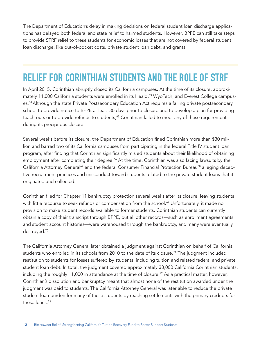<span id="page-11-0"></span>The Department of Education's delay in making decisions on federal student loan discharge applications has delayed both federal and state relief to harmed students. However, BPPE can still take steps to provide STRF relief to these students for economic losses that are not covered by federal student loan discharge, like out-of-pocket costs, private student loan debt, and grants.

### **RELIEF FOR CORINTHIAN STUDENTS AND THE ROLE OF STRF**

In April 2015, Corinthian abruptly closed its California campuses. At the time of its closure, approximately 11,000 California students were enrolled in its Heald,<sup>63</sup> WyoTech, and Everest College campuses.<sup>64</sup> Although the state Private Postsecondary Education Act requires a failing private postsecondary school to provide notice to BPPE at least 30 days prior to closure and to develop a plan for providing teach-outs or to provide refunds to students,<sup>65</sup> Corinthian failed to meet any of these requirements during its precipitous closure.

Several weeks before its closure, the Department of Education fined Corinthian more than \$30 million and barred two of its California campuses from participating in the federal Title IV student loan program, after finding that Corinthian significantly misled students about their likelihood of obtaining employment after completing their degree.<sup>66</sup> At the time, Corinthian was also facing lawsuits by the California Attorney General<sup>[67](#page-21-0)</sup> and the federal Consumer Financial Protection Bureau<sup>[68](#page-21-0)</sup> alleging deceptive recruitment practices and misconduct toward students related to the private student loans that it originated and collected.

Corinthian filed for Chapter 11 bankruptcy protection several weeks after its closure, leaving students with little recourse to seek refunds or compensation from the school.<sup>[69](#page-21-0)</sup> Unfortunately, it made no provision to make student records available to former students. Corinthian students can currently obtain a copy of their transcript through BPPE, but all other records—such as enrollment agreements and student account histories—were warehoused through the bankruptcy, and many were eventually destroyed.[70](#page-21-0)

The California Attorney General later obtained a judgment against Corinthian on behalf of California students who enrolled in its schools from 2010 to the date of its closure.<sup>[71](#page-21-0)</sup> The judgment included restitution to students for losses suffered by students, including tuition and related federal and private student loan debt. In total, the judgment covered approximately 38,000 California Corinthian students, including the roughly 11,000 in attendance at the time of closure.<sup>[72](#page-21-0)</sup> As a practical matter, however, Corinthian's dissolution and bankruptcy meant that almost none of the restitution awarded under the judgment was paid to students. The California Attorney General was later able to reduce the private student loan burden for many of these students by reaching settlements with the primary creditors for these loans.[73](#page-21-0)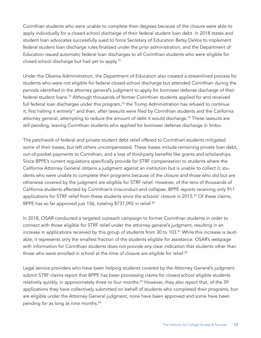<span id="page-12-0"></span>Corinthian students who were unable to complete their degrees because of the closure were able to apply individually for a closed school discharge of their federal student loan debt. In 2018 states and student loan advocates successfully sued to force Secretary of Education Betsy DeVos to implement federal student loan discharge rules finalized under the prior administration, and the Department of Education issued automatic federal loan discharges to all Corinthian students who were eligible for closed school discharge but had yet to apply.[74](#page-21-0)

Under the Obama Administration, the Department of Education also created a streamlined process for students who were not eligible for federal closed-school discharge but attended Corinthian during the periods identified in the attorney general's judgment to apply for borrower defense discharge of their federal student loans.[75](#page-21-0) Although thousands of former Corinthian students applied for and received full federal loan discharges under this program,<sup>[76](#page-21-0)</sup> the Trump Administration has refused to continue it, first halting it entirely<sup>77</sup> and then, after lawsuits were filed by Corinthian students and the California attorney general, attempting to reduce the amount of debt it would discharge.<sup>[78](#page-21-0)</sup> These lawsuits are still pending, leaving Corinthian students who applied for borrower defense discharge in limbo.

The patchwork of federal and private student debt relief offered to Corinthian students mitigated some of their losses, but left others uncompensated. These losses include remaining private loan debt, out-of-pocket payments to Corinthian, and a loss of third-party benefits like grants and scholarships. Since BPPE's current regulations specifically provide for STRF compensation to students where the California Attorney General obtains a judgment against an institution but is unable to collect it, students who were unable to complete their programs because of the closure and those who did but are otherwise covered by the judgment are eligible for STRF relief. However, of the tens of thousands of California students affected by Corinthian's misconduct and collapse, BPPE reports receiving only 911 applications for STRF relief from these students since the schools' closure in 2015.<sup>[79](#page-21-0)</sup> Of these claims, BPPE has so far approved just 156, totaling \$737,092 in relief.<sup>80</sup>

In 2018, OSAR conducted a targeted outreach campaign to former Corinthian students in order to connect with those eligible for STRF relief under the attorney general's judgment, resulting in an increase in applications received by this group of students from 30 to 103.<sup>[81](#page-21-0)</sup> While this increase is laudable, it represents only the smallest fraction of the students eligible for assistance. OSAR's webpage with information for Corinthian students does not provide any clear indication that students other than those who were enrolled in school at the time of closure are eligible for relief.<sup>[82](#page-21-0)</sup>

Legal service providers who have been helping students covered by the Attorney General's judgment submit STRF claims report that BPPE has been processing claims for closed school eligible students relatively quickly, in approximately three to four months.<sup>[83](#page-21-0)</sup> However, they also report that, of the 39 applications they have collectively submitted on behalf of students who completed their programs, but are eligible under the Attorney General judgment, none have been approved and some have been pending for as long as nine months.[84](#page-22-0)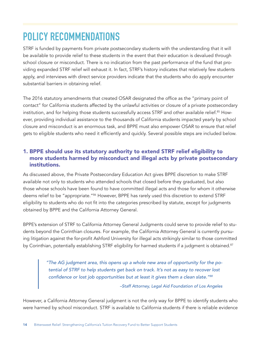# <span id="page-13-0"></span>**POLICY RECOMMENDATIONS**

STRF is funded by payments from private postsecondary students with the understanding that it will be available to provide relief to these students in the event that their education is devalued through school closure or misconduct. There is no indication from the past performance of the fund that providing expanded STRF relief will exhaust it. In fact, STRF's history indicates that relatively few students apply, and interviews with direct service providers indicate that the students who do apply encounter substantial barriers in obtaining relief.

The 2016 statutory amendments that created OSAR designated the office as the "primary point of contact" for California students affected by the unlawful activities or closure of a private postsecondary institution, and for helping those students successfully access STRF and other available relief.<sup>[85](#page-22-0)</sup> However, providing individual assistance to the thousands of California students impacted yearly by school closure and misconduct is an enormous task, and BPPE must also empower OSAR to ensure that relief gets to eligible students who need it efficiently and quickly. Several possible steps are included below.

### 1. BPPE should use its statutory authority to extend STRF relief eligibility to more students harmed by misconduct and illegal acts by private postsecondary institutions.

As discussed above, the Private Postsecondary Education Act gives BPPE discretion to make STRF available not only to students who attended schools that closed before they graduated, but also those whose schools have been found to have committed illegal acts and those for whom it otherwise deems relief to be "appropriate."<sup>[86](#page-22-0)</sup> However, BPPE has rarely used this discretion to extend STRF eligibility to students who do not fit into the categories prescribed by statute, except for judgments obtained by BPPE and the California Attorney General.

BPPE's extension of STRF to California Attorney General Judgments could serve to provide relief to students beyond the Corinthian closures. For example, the California Attorney General is currently pursuing litigation against the for-profit Ashford University for illegal acts strikingly similar to those committed by Corinthian, potentially establishing STRF eligibility for harmed students if a judgment is obtained.<sup>[87](#page-22-0)</sup>

> *"The AG judgment area, this opens up a whole new area of opportunity for the potential of STRF to help students get back on track. It's not as easy to recover lost*  confidence or lost job opportunities but at least it gives them a clean slate."*[88](#page-22-0)*

> > *–Staff Attorney, Legal Aid Foundation of Los Angeles*

However, a California Attorney General judgment is not the only way for BPPE to identify students who were harmed by school misconduct. STRF is available to California students if there is reliable evidence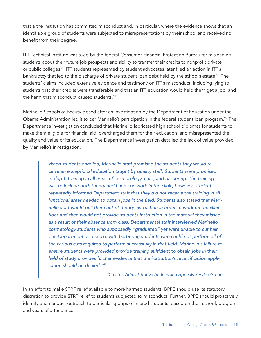<span id="page-14-0"></span>that a the institution has committed misconduct and, in particular, where the evidence shows that an identifiable group of students were subjected to misrepresentations by their school and received no benefit from their degree.

ITT Technical Institute was sued by the federal Consumer Financial Protection Bureau for misleading students about their future job prospects and ability to transfer their credits to nonprofit private or public colleges.<sup>[89](#page-22-0)</sup> ITT students represented by student advocates later filed an action in ITT's bankruptcy that led to the discharge of private student loan debt held by the school's estate.<sup>[90](#page-22-0)</sup> The students' claims included extensive evidence and testimony on ITT's misconduct, including lying to students that their credits were transferable and that an ITT education would help them get a job, and the harm that misconduct caused students.<sup>[91](#page-22-0)</sup>

Marinello Schools of Beauty closed after an investigation by the Department of Education under the Obama Administration led it to bar Marinello's participation in the federal student loan program.<sup>[92](#page-22-0)</sup> The Department's investigation concluded that Marinello fabricated high school diplomas for students to make them eligible for financial aid, overcharged them for their education, and misrepresented the quality and value of its education. The Department's investigation detailed the lack of value provided by Marinello's investigation.

> *"When students enrolled, Marinello staff promised the students they would receive an exceptional education taught by quality staff. Students were promised*  in-depth training in all areas of cosmetology, nails, and barbering. The training *was to include both theory and hands-on work in the clinic; however, students repeatedly informed Department staff that they did not receive the training in all*  functional areas needed to obtain jobs in the field. Students also stated that Mari*nello staff would pull them out of theory instruction in order to work on the clinic*  floor and then would not provide students instruction in the material they missed *as a result of their absence from class. Departmental staff interviewed Marinello cosmetology students who supposedly "graduated" yet were unable to cut hair. The Department also spoke with barbering students who could not perform all of*  the various cuts required to perform successfully in that field. Marinello's failure to ensure students were provided provide training sufficient to obtain jobs in their field of study provides further evidence that the institution's recertification appli*cation should be denied.["93](#page-22-0)*

> > *–Director, Administrative Actions and Appeals Service Group*

In an effort to make STRF relief available to more harmed students, BPPE should use its statutory discretion to provide STRF relief to students subjected to misconduct. Further, BPPE should proactively identify and conduct outreach to particular groups of injured students, based on their school, program, and years of attendance.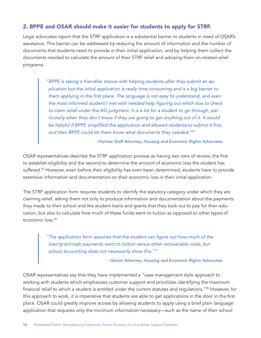#### <span id="page-15-0"></span>2. BPPE and OSAR should make it easier for students to apply for STRF.

Legal advocates report that the STRF application is a substantial barrier to students in need of OSAR's assistance. This barrier can be addressed by reducing the amount of information and the number of documents that students need to provide in their initial application, and by helping them collect the documents needed to calculate the amount of their STRF relief and advising them on related relief programs.

> "*BPPE is taking a friendlier stance with helping students after they submit an application but the initial application is really time consuming and is a big barrier to*  them applying in the first place. The language is not easy to understand, and even the most informed student I met with needed help figuring out which box to check *to claim relief under the AG judgment. It is a lot for a student to go through, particularly when they don't know if they are going to get anything out of it. It would*  be helpful if BPPE simplified the application and allowed students to submit it first, *and then BPPE could let them know what documents they needed.["94](#page-22-0)*

> > *–Former Staff Attorney, Housing and Economic Rights Advocates*

OSAR representatives describe the STRF application process as having two tiers of review, the first to establish eligibility and the second to determine the amount of economic loss the student has suffered.<sup>[95](#page-22-0)</sup> However, even before their eligibility has even been determined, students have to provide extensive information and documentation on their economic loss in their initial application.

The STRF application form requires students to identify the statutory category under which they are claiming relief, asking them not only to produce information and documentation about the payments they made to their school and the student loans and grants that they took out to pay for their education, but also to calculate how much of these funds went to tuition as opposed to other types of economic loss.[96](#page-22-0)

> "The application form assumes that the student can figure out how much of the *loan/grant/cash payments went to tuition versus other recoverable costs, but school accounting does not necessarily show this.*"[97](#page-22-0)

> > *–Senior Attorney, Housing and Economic Rights Advocates*

OSAR representatives say that they have implemented a "case management style approach to working with students which emphasizes customer support and prioritizes identifying the maximum financial relief to which a student is entitled under the current statutes and regulations.["98](#page-22-0) However, for this approach to work, it is imperative that students are able to get applications in the door in the first place. OSAR could greatly improve access by allowing students to apply using a brief plain language application that requests only the minimum information necessary—such as the name of their school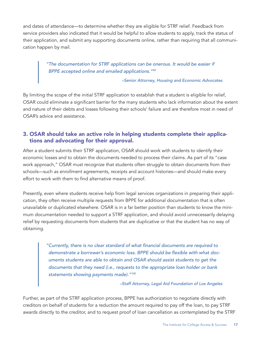<span id="page-16-0"></span>and dates of attendance—to determine whether they are eligible for STRF relief. Feedback from service providers also indicated that it would be helpful to allow students to apply, track the status of their application, and submit any supporting documents online, rather than requiring that all communication happen by mail.

> *"The documentation for STRF applications can be onerous. It would be easier if BPPE accepted online and emailed applications.["99](#page-22-0)*

> > *–Senior Attorney, Housing and Economic Advocates*

By limiting the scope of the initial STRF application to establish that a student is eligible for relief, OSAR could eliminate a significant barrier for the many students who lack information about the extent and nature of their debts and losses following their schools' failure and are therefore most in need of OSAR's advice and assistance.

#### 3. OSAR should take an active role in helping students complete their applications and advocating for their approval.

After a student submits their STRF application, OSAR should work with students to identify their economic losses and to obtain the documents needed to process their claims. As part of its "case work approach," OSAR must recognize that students often struggle to obtain documents from their schools—such as enrollment agreements, receipts and account histories—and should make every effort to work with them to find alternative means of proof.

Presently, even where students receive help from legal services organizations in preparing their application, they often receive multiple requests from BPPE for additional documentation that is often unavailable or duplicated elsewhere. OSAR is in a far better position than students to know the minimum documentation needed to support a STRF application, and should avoid unnecessarily delaying relief by requesting documents from students that are duplicative or that the student has no way of obtaining.

> "Currently, there is no clear standard of what financial documents are required to demonstrate a borrower's economic loss. BPPE should be flexible with what doc*uments students are able to obtain and OSAR should assist students to get the documents that they need (i.e., requests to the appropriate loan holder or bank statements showing payments made)."[100](#page-22-0)*

#### *–Staff Attorney, Legal Aid Foundation of Los Angeles*

Further, as part of the STRF application process, BPPE has authorization to negotiate directly with creditors on behalf of students for a reduction the amount required to pay off the loan, to pay STRF awards directly to the creditor, and to request proof of loan cancellation as contemplated by the STRF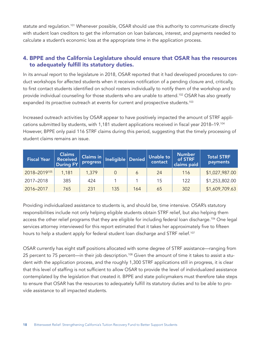<span id="page-17-0"></span>statute and regulation.<sup>101</sup> Whenever possible, OSAR should use this authority to communicate directly with student loan creditors to get the information on loan balances, interest, and payments needed to calculate a student's economic loss at the appropriate time in the application process.

#### 4. BPPE and the California Legislature should ensure that OSAR has the resources to adequately fulfill its statutory duties.

In its annual report to the legislature in 2018, OSAR reported that it had developed procedures to conduct workshops for affected students when it receives notification of a pending closure and, critically, to first contact students identified on school rosters individually to notify them of the workshop and to provide individual counseling for those students who are unable to attend[.102](#page-22-0) OSAR has also greatly expanded its proactive outreach at events for current and prospective students.<sup>103</sup>

Increased outreach activities by OSAR appear to have positively impacted the amount of STRF applications submitted by students, with 1,181 student applications received in fiscal year 2018–19.[104](#page-22-0) However, BPPE only paid 116 STRF claims during this period, suggesting that the timely processing of student claims remains an issue.

| <b>Fiscal Year</b>  | <b>Claims</b><br><b>Received</b><br><b>During FY</b> | <b>Claims in</b><br>progress | Ineligible | $\vert$ Denied $\vert$ | <b>Unable to</b><br>contact | <b>Number</b><br>of STRF<br>claims paid | <b>Total STRF</b><br>payments |
|---------------------|------------------------------------------------------|------------------------------|------------|------------------------|-----------------------------|-----------------------------------------|-------------------------------|
| $2018 - 2019^{105}$ | 1,181                                                | 1,379                        |            | 6                      | 24                          | 116                                     | \$1,027,987.00                |
| 2017-2018           | 385                                                  | 424                          |            |                        | 15                          | 122                                     | \$1,253,802.00                |
| 2016-2017           | 765                                                  | 231                          | 135        | 164                    | 65                          | 302                                     | \$1,609,709.63                |

Providing individualized assistance to students is, and should be, time intensive. OSAR's statutory responsibilities include not only helping eligible students obtain STRF relief, but also helping them access the other relief programs that they are eligible for including federal loan discharge.<sup>[106](#page-22-0)</sup> One legal services attorney interviewed for this report estimated that it takes her approximately five to fifteen hours to help a student apply for federal student loan discharge and STRF relief.<sup>[107](#page-22-0)</sup>

OSAR currently has eight staff positions allocated with some degree of STRF assistance—ranging from 25 percent to 75 percent—in their job description.<sup>[108](#page-22-0)</sup> Given the amount of time it takes to assist a student with the application process, and the roughly 1,300 STRF applications still in progress, it is clear that this level of staffing is not sufficient to allow OSAR to provide the level of individualized assistance contemplated by the legislation that created it. BPPE and state policymakers must therefore take steps to ensure that OSAR has the resources to adequately fulfill its statutory duties and to be able to provide assistance to all impacted students.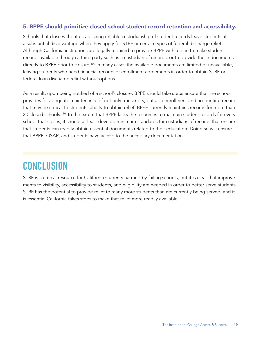#### <span id="page-18-0"></span>5. BPPE should prioritize closed school student record retention and accessibility.

Schools that close without establishing reliable custodianship of student records leave students at a substantial disadvantage when they apply for STRF or certain types of federal discharge relief. Although California institutions are legally required to provide BPPE with a plan to make student records available through a third party such as a custodian of records, or to provide these documents directly to BPPE prior to closure,<sup>[109](#page-22-0)</sup> in many cases the available documents are limited or unavailable, leaving students who need financial records or enrollment agreements in order to obtain STRF or federal loan discharge relief without options.

As a result, upon being notified of a school's closure, BPPE should take steps ensure that the school provides for adequate maintenance of not only transcripts, but also enrollment and accounting records that may be critical to students' ability to obtain relief. BPPE currently maintains records for more than 20 closed schools.<sup>110</sup> To the extent that BPPE lacks the resources to maintain student records for every school that closes, it should at least develop minimum standards for custodians of records that ensure that students can readily obtain essential documents related to their education. Doing so will ensure that BPPE, OSAR, and students have access to the necessary documentation.

### **CONCLUSION**

STRF is a critical resource for California students harmed by failing schools, but it is clear that improvements to visibility, accessibility to students, and eligibility are needed in order to better serve students. STRF has the potential to provide relief to many more students than are currently being served, and it is essential California takes steps to make that relief more readily available.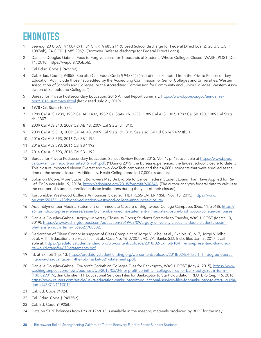### <span id="page-19-0"></span>**ENDNOTES**

- [1](#page-3-0) See e.g. 20 U.S.C. § 1087(c)(1), 34 C.F.R. § 685.214 (Closed School discharge for Federal Direct Loans); 20 U.S.C.S. § 1087e(h), 34 C.F.R. § 685.206(c) (Borrower Defense discharge for Federal Direct Loans).
- [2](#page-3-0) Danielle Douglas-Gabriel, Feds to Forgive Loans for Thousands of Students Whose Colleges Closed, WASH. POST (Dec. 14, 2018), https://wapo.st/2GlzblZ.
- [3](#page-3-0) Cal Educ. Code § 94923(a).
- [4](#page-3-0) Cal. Educ. Code § 94858. See also Cal. Educ. Code § 94874(i) (Institutions exempted from the Private Postsecondary Education Act include those "accredited by the Accrediting Commission for Senior Colleges and Universities, Western Association of Schools and Colleges, or the Accrediting Commission for Community and Junior Colleges, Western Association of Schools and Colleges.")
- [5](#page-3-0) Bureau for Private Postsecondary Education, 2016 Annual Report Summary, [https://www.bppe.ca.gov/annual\\_re](https://www.bppe.ca.gov/annual_report/2016_summary.shtml)[port/2016\\_summary.shtml](https://www.bppe.ca.gov/annual_report/2016_summary.shtml) (last visited July 21, 2019).
- [6](#page-4-0) 1978 Cal. Stats ch. 975.
- [7](#page-4-0) 1989 Cal ALS 1239, 1989 Cal AB 1402, 1989 Cal Stats. ch. 1239; 1989 Cal ALS 1307, 1989 Cal SB 190, 1989 Cal Stats. ch. 1307.
- [8](#page-4-0) 2009 Cal ALS 310, 2009 Cal AB 48, 2009 Cal Stats. ch. 310.
- [9](#page-4-0) 2009 Cal ALS 310, 2009 Cal AB 48, 2009 Cal Stats. ch. 310. See also Cal Ed Code 94923(b)(1).
- [10](#page-4-0) 2016 Cal ALS 593, 2016 Cal SB 1192.
- [11](#page-4-0) 2016 Cal ALS 593, 2016 Cal SB 1192.
- [12](#page-4-0) 2016 Cal ALS 593, 2016 Cal SB 1192.
- [13](#page-4-0) Bureau for Private Postsecondary Education, Sunset Review Report 2015, Vol. 1, p. 43, available at [https://www.bppe.](https://www.bppe.ca.gov/annual_report/sunset2015_vol1.pdf) [ca.gov/annual\\_report/sunset2015\\_vol1.pdf](https://www.bppe.ca.gov/annual_report/sunset2015_vol1.pdf). ("During 2015, the Bureau experienced the largest school closure to date... This closure impacted eleven Everest and two WyoTech campuses and their 4,000+ students that were enrolled at the time of the school closure. Additionally, Heald College enrolled 7,000+ students).
- [14](#page-4-0) Solomon Moore, More Student Borrowers May Be Eligible to Cancel Federal Student Loans Than Have Applied for Relief, EdSource (July 19, 2018), <https://edsource.org/2018/forprofit/600346>. (The author analyzes federal data to calculate the number of students enrolled in these institutions during the year of their closure).
- [15](#page-4-0) Kurt Snibbe, Westwood College Announces Closure, THE PRESS-ENTERPRISE (Nov. 13, 2015), [https://www.](https://www.pe.com/2015/11/13/higher-education-westwood-college-announces-closure/) [pe.com/2015/11/13/higher-education-westwood-college-announces-closure/](https://www.pe.com/2015/11/13/higher-education-westwood-college-announces-closure/).
- [16](#page-4-0) Assemblymember Medina Statement on Immediate Closure of Brightwood College Campuses (Dec. 11, 2018), [https://](https://a61.asmdc.org/press-releases/assemblymember-medina-statement-immediate-closure-brightwood-college-campuses) [a61.asmdc.org/press-releases/assemblymember-medina-statement-immediate-closure-brightwood-college-campuses](https://a61.asmdc.org/press-releases/assemblymember-medina-statement-immediate-closure-brightwood-college-campuses).
- [17](#page-4-0) Danielle Douglas-Gabriel, Argosy University Closes Its Doors; Students Scramble to Transfer, WASH. POST (March 10, 2019), [https://www.washingtonpost.com/education/2019/03/09/argosy-university-closes-its-doors-students-scram](https://www.washingtonpost.com/education/2019/03/09/argosy-university-closes-its-doors-students-scramble-transfer/?utm_term=.c6e527708002)[ble-transfer/?utm\\_term=.c6e527708002](https://www.washingtonpost.com/education/2019/03/09/argosy-university-closes-its-doors-students-scramble-transfer/?utm_term=.c6e527708002).
- [18](#page-5-0) Declaration of Eileen Connor in support of Class Complaint of Jorge Villalba, et al., Exhibit 10, p. 7, Jorge Villalba, et al. v. ITT Educational Services Inc., et al., Case No. 16-07207-JMC-7A (Bankr. S.D. Ind.), filed Jan. 3, 2017, available at: [https://predatorystudentlending.org/wp-content/uploads/2018/02/Exhibit-10-ITT-misrepresenting-that-cred](https://predatorystudentlending.org/wp-content/uploads/2018/02/Exhibit-10-ITT-misrepresenting-that-credits-would-transfer-670-statements.pdf)[its-would-transfer-670-statements.pdf](https://predatorystudentlending.org/wp-content/uploads/2018/02/Exhibit-10-ITT-misrepresenting-that-credits-would-transfer-670-statements.pdf).
- [19](#page-5-0) Id. at Exhibit 1, p. 13. [https://predatorystudentlending.org/wp-content/uploads/2018/02/Exhibit-1-ITT-degree-operat](https://predatorystudentlending.org/wp-content/uploads/2018/02/Exhibit-1-ITT-degree-operating-as-a-disadvantage-in-the-job-market-521-statements.pdf)[ing-as-a-disadvantage-in-the-job-market-521-statements.pdf.](https://predatorystudentlending.org/wp-content/uploads/2018/02/Exhibit-1-ITT-degree-operating-as-a-disadvantage-in-the-job-market-521-statements.pdf)
- [20](#page-5-0) Danielle Douglas-Gabriel, For-profit Corinthian Colleges Files for Bankruptcy, WASH. POST (May 4, 2015), [https://www.](https://www.washingtonpost.com/news/business/wp/2015/05/04/for-profit-corinthian-colleges-files-for-bankruptcy/?utm_term=.f18bf829017c) [washingtonpost.com/news/business/wp/2015/05/04/for-profit-corinthian-colleges-files-for-bankruptcy/?utm\\_term=.](https://www.washingtonpost.com/news/business/wp/2015/05/04/for-profit-corinthian-colleges-files-for-bankruptcy/?utm_term=.f18bf829017c) [f18bf829017c](https://www.washingtonpost.com/news/business/wp/2015/05/04/for-profit-corinthian-colleges-files-for-bankruptcy/?utm_term=.f18bf829017c); Jim Christie, ITT Educational Services Files for Bankruptcy to Start Liquidation, REUTERS (Sep. 16, 2016), [https://www.reuters.com/article/us-itt-education-bankruptcy/itt-educational-services-files-for-bankruptcy-to-start-liquida](https://www.reuters.com/article/us-itt-education-bankruptcy/itt-educational-services-files-for-bankruptcy-to-start-liquidation-idUSKCN11N01U)[tion-idUSKCN11N01U.](https://www.reuters.com/article/us-itt-education-bankruptcy/itt-educational-services-files-for-bankruptcy-to-start-liquidation-idUSKCN11N01U)
- [21](#page-5-0) Cal. Ed. Code 94924.
- [22](#page-5-0) Cal. Educ. Code § 94925(a).
- [23](#page-5-0) Cal. Ed. Code 94925(b).
- [24](#page-6-0) Data on STRF balances from FYs 2012/2013 is available in the meeting materials produced by BPPE for the May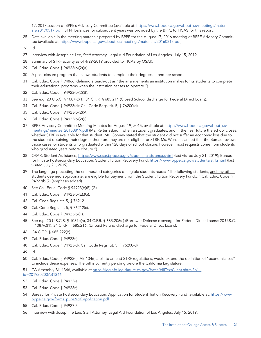<span id="page-20-0"></span>17, 2017 session of BPPE's Advisory Committee (available at: [https://www.bppe.ca.gov/about\\_us/meetings/materi](https://www.bppe.ca.gov/about_us/meetings/materials/20170517.pdf)[als/20170517.pdf](https://www.bppe.ca.gov/about_us/meetings/materials/20170517.pdf)). STRF balances for subsequent years was provided by the BPPE to TICAS for this report.

- Data available in the meeting materials prepared by BPPE for the August 17, 2016 meeting of BPPE Advisory Committee (available at: [https://www.bppe.ca.gov/about\\_us/meetings/materials/20160817.pdf](https://www.bppe.ca.gov/about_us/meetings/materials/20160817.pdf)).
- Id.
- Interview with Josephine Lee, Staff Attorney, Legal Aid Foundation of Los Angeles, July 15, 2019.
- Summary of STRF activity as of 4/29/2019 provided to TICAS by OSAR.
- Cal. Educ. Code § 94923(b)(2)(A).
- A post-closure program that allows students to complete their degrees at another school.
- Cal. Educ. Code § 94866 (defining a teach-out as "the arrangements an institution makes for its students to complete their educational programs when the institution ceases to operate.").
- Cal. Educ. Code § 94923(b)(2)(B).
- See e.g. 20 U.S.C. § 1087(c)(1), 34 C.F.R. § 685.214 (Closed School discharge for Federal Direct Loans).
- Cal. Educ. Code § 94923(d); Cal. Code Regs. tit. 5, § 76200(d).
- Cal. Educ. Code § 94923(b)(2)(A).
- Cal. Educ. Code § 94923(b)(2)(C).
- BPPE Advisory Committee Meeting Minutes for August 19, 2015, available at: [https://www.bppe.ca.gov/about\\_us/](https://www.bppe.ca.gov/about_us/meetings/minutes_20150819.pdf) [meetings/minutes\\_20150819.pdf](https://www.bppe.ca.gov/about_us/meetings/minutes_20150819.pdf) (Ms. Reiter asked if when a student graduates, and in the near future the school closes, whether STRF is available for that student. Ms. Cooney stated that the student did not suffer an economic loss due to the student obtaining their degree; therefore they are not eligible for STRF. Ms. Wenzel clarified that the Bureau reviews those cases for students who graduated within 120 days of school closure; however, most requests come from students who graduated years before closure.")
- OSAR, Student Assistance, [https://www.osar.bppe.ca.gov/student\\_assistance.shtml](https://www.osar.bppe.ca.gov/student_assistance.shtml) (last visited July 21, 2019); Bureau for Private Postsecondary Education, Student Tuition Recovery Fund, <https://www.bppe.ca.gov/students/strf.shtml>(last visited July 21, 2019).
- The language preceding the enumerated categories of eligible students reads: "The following students, and any other students deemed appropriate, are eligible for payment from the Student Tuition Recovery Fund…" Cal. Educ. Code § 94923(b)(2) (emphasis added).
- See Cal. Educ. Code § 94923(b)(E)-(G).
- Cal. Educ. Code § 94923(b)(E),(G).
- Cal. Code Regs. tit. 5, § 76212.
- Cal. Code Regs. tit. 5, § 76212(c).
- Cal. Educ. Code § 94923(b)(F).
- See e.g. 20 U.S.C.S. § 1087e(h), 34 C.F.R. § 685.206(c) (Borrower Defense discharge for Federal Direct Loans); 20 U.S.C. § 1087(c)(1), 34 C.F.R. § 685.216. (Unpaid Refund discharge for Federal Direct Loans).
- 34 C.F.R. § 685.222(b).
- Cal. Educ. Code § 94923(f).
- Cal. Educ. Code § 94923(d); Cal. Code Regs. tit. 5, § 76200(d).
- Id.
- Cal. Educ. Code § 94923(f). AB 1346, a bill to amend STRF regulations, would extend the definition of "economic loss" to include these expenses. The bill is currently pending before the California Legislature.
- CA Assembly Bill 1346, available at [https://leginfo.legislature.ca.gov/faces/billTextClient.xhtml?bill\\_](https://leginfo.legislature.ca.gov/faces/billTextClient.xhtml?bill_id=201920200AB1346) [id=201920200AB1346](https://leginfo.legislature.ca.gov/faces/billTextClient.xhtml?bill_id=201920200AB1346).
- Cal. Educ. Code § 94923(e).
- Cal. Educ. Code § 94923(f).
- Bureau for Private Postsecondary Education, Application for Student Tuition Recovery Fund, available at: [https://www.](https://www.bppe.ca.gov/forms_pubs/strf_application.pdf) [bppe.ca.gov/forms\\_pubs/strf\\_application.pdf.](https://www.bppe.ca.gov/forms_pubs/strf_application.pdf)
- Cal. Educ. Code § 94927.5.
- Interview with Josephine Lee, Staff Attorney, Legal Aid Foundation of Los Angeles, July 15, 2019.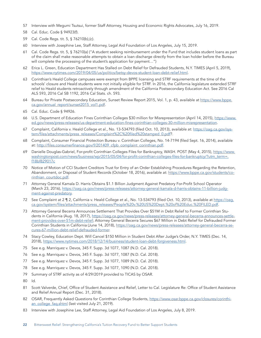- <span id="page-21-0"></span>[57](#page-10-0) Interview with Megumi Tsutsui, former Staff Attorney, Housing and Economic Rights Advocates, July 16, 2019.
- [58](#page-10-0) Cal. Educ. Code § 94923(f).
- [59](#page-10-0) Cal. Code Regs. tit. 5, § 76210(b),(c).
- [60](#page-10-0) Interview with Josephine Lee, Staff Attorney, Legal Aid Foundation of Los Angeles, July 15, 2019.
- [61](#page-10-0) Cal. Code Regs. tit. 5, § 76210(a) ("A student seeking reimbursement under the Fund that includes student loans as part of the claim shall make reasonable attempts to obtain a loan discharge directly from the loan holder before the Bureau will complete the processing of the student's application for payment…")
- [62](#page-10-0) Erica L. Green, Education Department Has Stalled on Debt Relief for Defrauded Students, N.Y. TIMES (April 5, 2019), <https://www.nytimes.com/2019/04/05/us/politics/betsy-devos-student-loan-debt-relief.html>.
- 63 Corinthian's Heald College campuses were exempt from BPPE licensing and STRF requirements at the time of the schools' closure and Heald students were not initially eligible for STRF. In 2016, the California legislature extended STRF relief to Heald students retroactively through amendment of the California Postsecondary Education Act. See 2016 Cal ALS 593, 2016 Cal SB 1192, 2016 Cal Stats. ch. 593.
- [64](#page-11-0) Bureau for Private Postsecondary Education, Sunset Review Report 2015, Vol. 1, p. 43, available at [https://www.bppe.](https://www.bppe.ca.gov/annual_report/sunset2015_vol1.pdf) [ca.gov/annual\\_report/sunset2015\\_vol1.pdf](https://www.bppe.ca.gov/annual_report/sunset2015_vol1.pdf).
- [65](#page-11-0) Cal. Educ. Code § 94926.
- [66](#page-11-0) U.S. Department of Education Fines Corinthian Colleges \$30 million for Misrepresentation (April 14, 2015), [https://www.](https://www.ed.gov/news/press-releases/us-department-education-fines-corinthian-colleges-30-million-misrepresentation) [ed.gov/news/press-releases/us-department-education-fines-corinthian-colleges-30-million-misrepresentation](https://www.ed.gov/news/press-releases/us-department-education-fines-corinthian-colleges-30-million-misrepresentation).
- [67](#page-11-0) Complaint, California v. Heald College et al., No. 13-534793 (filed Oct. 10, 2013), available at: [https://oag.ca.gov/sys](https://oag.ca.gov/system/files/attachments/press_releases/Complaint%2C%20filed%20stamped_0.pdf)[tem/files/attachments/press\\_releases/Complaint%2C%20filed%20stamped\\_0.pdf](https://oag.ca.gov/system/files/attachments/press_releases/Complaint%2C%20filed%20stamped_0.pdf)?.
- [68](#page-11-0) Complaint, Consumer Financial Protection Bureau v. Corinthian Colleges, No. 14-7194 (filed Sept. 16, 2014), available at: [http://files.consumerfinance.gov/f/201409\\_cfpb\\_complaint\\_corinthian.pdf](http://files.consumerfinance.gov/f/201409_cfpb_complaint_corinthian.pdf).
- [69](#page-11-0) Danielle Douglas-Gabriel, For-profit Corinthian Colleges Files for Bankruptcy, WASH. POST (May 4, 2015), [https://www.](https://www.washingtonpost.com/news/business/wp/2015/05/04/for-profit-corinthian-colleges-files-for-bankruptcy/?utm_term=.f18bf829017c) [washingtonpost.com/news/business/wp/2015/05/04/for-profit-corinthian-colleges-files-for-bankruptcy/?utm\\_term=.](https://www.washingtonpost.com/news/business/wp/2015/05/04/for-profit-corinthian-colleges-files-for-bankruptcy/?utm_term=.f18bf829017c) [f18bf829017c](https://www.washingtonpost.com/news/business/wp/2015/05/04/for-profit-corinthian-colleges-files-for-bankruptcy/?utm_term=.f18bf829017c)
- [70](#page-11-0) Notice of Motion of CCI Student Creditors Trust for Entry of an Order Establishing Procedures Regarding the Retention, Abandonment, or Disposal of Student Records (October 18, 2016), available at: [https://www.bppe.ca.gov/students/co](https://www.bppe.ca.gov/students/corinthian_courtdoc.pdf)[rinthian\\_courtdoc.pdf](https://www.bppe.ca.gov/students/corinthian_courtdoc.pdf).
- [71](#page-11-0) Attorney General Kamala D. Harris Obtains \$1.1 Billion Judgment Against Predatory For-Profit School Operator (March 23, 2016), [https://oag.ca.gov/news/press-releases/attorney-general-kamala-d-harris-obtains-11-billion-judg](https://oag.ca.gov/news/press-releases/attorney-general-kamala-d-harris-obtains-11-billion-judgment-against-predatory)[ment-against-predatory.](https://oag.ca.gov/news/press-releases/attorney-general-kamala-d-harris-obtains-11-billion-judgment-against-predatory)
- [72](#page-11-0) See Complaint at 2 ¶ 2, California v. Heald College et al., No. 13-534793 (filed Oct. 10, 2013), available at [https://oag.](https://oag.ca.gov/system/files/attachments/press_releases/People%20v.%20US%20Dept.%20of%20Educ.%20FILED.pdf) [ca.gov/system/files/attachments/press\\_releases/People%20v.%20US%20Dept.%20of%20Educ.%20FILED.pdf](https://oag.ca.gov/system/files/attachments/press_releases/People%20v.%20US%20Dept.%20of%20Educ.%20FILED.pdf).
- [73](#page-11-0) Attorney General Becerra Announces Settlement That Provides Over \$51M in Debt Relief to Former Corinthian Students in California (Aug. 18, 2017), [https://oag.ca.gov/news/press-releases/attorney-general-becerra-announces-settle](https://oag.ca.gov/news/press-releases/attorney-general-becerra-announces-settlement-provides-over-51m-debt-relief)[ment-provides-over-51m-debt-relief](https://oag.ca.gov/news/press-releases/attorney-general-becerra-announces-settlement-provides-over-51m-debt-relief); Attorney General Becerra Secures \$67 Million in Debt Relief for Defrauded Former Corinthian Students in California (June 14, 2018), [https://oag.ca.gov/news/press-releases/attorney-general-becerra-se](https://oag.ca.gov/news/press-releases/attorney-general-becerra-secures-67-million-debt-relief-defrauded-former)[cures-67-million-debt-relief-defrauded-former](https://oag.ca.gov/news/press-releases/attorney-general-becerra-secures-67-million-debt-relief-defrauded-former).
- [74](#page-12-0) Stacy Cowley, Education Dept. Will Cancel \$150 Million in Student Debt After Judge's Order, N.Y. TIMES (Dec. 14, 2018),<https://www.nytimes.com/2018/12/14/business/student-loan-debt-forgiveness.html>.
- [75](#page-12-0) See e.g. Manriquez v. Devos, 345 F. Supp. 3d 1077, 1087 (N.D. Cal. 2018).
- [76](#page-12-0) See e.g. Manriquez v. Devos, 345 F. Supp. 3d 1077, 1087 (N.D. Cal. 2018).
- [77](#page-12-0) See e.g. Manriquez v. Devos, 345 F. Supp. 3d 1077, 1089 (N.D. Cal. 2018).
- [78](#page-12-0) See e.g. Manriquez v. Devos, 345 F. Supp. 3d 1077, 1090 (N.D. Cal. 2018).
- [79](#page-12-0) Summary of STRF activity as of 4/29/2019 provided to TICAS by OSAR.
- [80](#page-12-0) Id.
- [81](#page-12-0) Scott Valverde, Chief, Office of Student Assistance and Relief, Letter to Cal. Legislature Re: Office of Student Assistance and Relief Annual Report (Dec. 31, 2018).
- [82](#page-12-0) OSAR, Frequently Asked Questions for Corinthian College Students, [https://www.osar.bppe.ca.gov/closures/corinthi](https://www.osar.bppe.ca.gov/closures/corinthian_college_faq.shtml)[an\\_college\\_faq.shtml](https://www.osar.bppe.ca.gov/closures/corinthian_college_faq.shtml) (last visited July 21, 2019).
- [83](#page-12-0) Interview with Josephine Lee, Staff Attorney, Legal Aid Foundation of Los Angeles, July 8, 2019.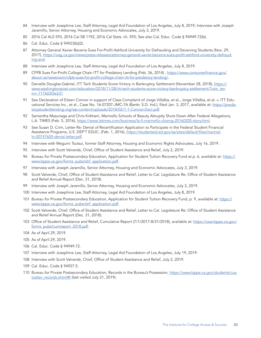- <span id="page-22-0"></span>[84](#page-12-0) Interview with Josephine Lee, Staff Attorney, Legal Aid Foundation of Los Angeles, July 8, 2019; Interview with Joseph Jaramillo, Senior Attorney, Housing and Economic Advocates, July 3, 2019.
- [85](#page-13-0) 2016 Cal ALS 593, 2016 Cal SB 1192, 2016 Cal Stats. ch. 593; See also Cal. Educ. Code § 94949.72(b).
- [86](#page-13-0) Cal. Educ. Code § 94923(b)(2).
- [87](#page-13-0) Attorney General Xavier Becerra Sues For-Profit Ashford University for Defrauding and Deceiving Students (Nov. 29, 2017), [https://oag.ca.gov/news/press-releases/attorney-general-xavier-becerra-sues-profit-ashford-university-defraud](https://oag.ca.gov/news/press-releases/attorney-general-xavier-becerra-sues-profit-ashford-university-defrauding-and)[ing-and.](https://oag.ca.gov/news/press-releases/attorney-general-xavier-becerra-sues-profit-ashford-university-defrauding-and)
- [88](#page-13-0) Interview with Josephine Lee, Staff Attorney, Legal Aid Foundation of Los Angeles, July 8, 2019.
- [89](#page-14-0) CFPB Sues For-Profit College Chain ITT for Predatory Lending (Feb. 26, 2014), [https://www.consumerfinance.gov/](https://www.consumerfinance.gov/about-us/newsroom/cfpb-sues-for-profit-college-chain-itt-for-predatory-lending/) [about-us/newsroom/cfpb-sues-for-profit-college-chain-itt-for-predatory-lending/](https://www.consumerfinance.gov/about-us/newsroom/cfpb-sues-for-profit-college-chain-itt-for-predatory-lending/).
- [90](#page-14-0) Danielle Douglas-Gabriel, ITT Tech Students Score Victory in Bankruptcy Settlement (November 28, 2018), [https://](https://www.washingtonpost.com/education/2018/11/28/itt-tech-students-score-victory-bankruptcy-settlement/?utm_term=.717603f3e231) [www.washingtonpost.com/education/2018/11/28/itt-tech-students-score-victory-bankruptcy-settlement/?utm\\_ter](https://www.washingtonpost.com/education/2018/11/28/itt-tech-students-score-victory-bankruptcy-settlement/?utm_term=.717603f3e231)[m=.717603f3e231](https://www.washingtonpost.com/education/2018/11/28/itt-tech-students-score-victory-bankruptcy-settlement/?utm_term=.717603f3e231)
- [91](#page-14-0) See Declaration of Eileen Connor in support of Class Complaint of Jorge Villalba, et al., Jorge Villalba, et al. v. ITT Educational Services Inc., et al., Case No. 16-07207-JMC-7A (Bankr. S.D. Ind.), filed Jan. 3, 2017, available at: [https://preda](https://predatorystudentlending.org/wp-content/uploads/2018/02/1-1-Connor-Decl.pdf)[torystudentlending.org/wp-content/uploads/2018/02/1-1-Connor-Decl.pdf](https://predatorystudentlending.org/wp-content/uploads/2018/02/1-1-Connor-Decl.pdf).
- [92](#page-14-0) Samantha Masunaga and Chris Kirkham, Marinello Schools of Beauty Abruptly Shuts Down After Federal Allegations, L.A. TIMES (Feb. 5, 2016), <https://www.latimes.com/business/la-fi-marinello-closing-20160205-story.html>.
- [93](#page-14-0) See Susan D. Crim, Letter Re: Denial of Recertification Application to Participate in the Federal Student Financial Assistance Programs, U.S. DEP'T EDUC. (Feb. 1, 2016), [https://studentaid.ed.gov/sa/sites/default/files/marinel](https://studentaid.ed.gov/sa/sites/default/files/marinello-00747600-denial-letter.pdf)[lo-00747600-denial-letter.pdf](https://studentaid.ed.gov/sa/sites/default/files/marinello-00747600-denial-letter.pdf).
- [94](#page-15-0) Interview with Megumi Tsutsui, former Staff Attorney, Housing and Economic Rights Advocates, July 16, 2019.
- [95](#page-15-0) Interview with Scott Valverde, Chief, Office of Student Assistance and Relief, July 2, 2019.
- [96](#page-15-0) Bureau for Private Postsecondary Education, Application for Student Tuition Recovery Fund at p. 6, available at: [https://](https://www.bppe.ca.gov/forms_pubs/strf_application.pdf) [www.bppe.ca.gov/forms\\_pubs/strf\\_application.pdf](https://www.bppe.ca.gov/forms_pubs/strf_application.pdf).
- [97](#page-15-0) Interview with Joseph Jaramillo, Senior Attorney, Housing and Economic Advocates, July 3, 2019.
- [98](#page-15-0) Scott Valverde, Chief, Office of Student Assistance and Relief, Letter to Cal. Legislature Re: Office of Student Assistance and Relief Annual Report (Dec. 31, 2018).
- [99](#page-16-0) Interview with Joseph Jaramillo, Senior Attorney, Housing and Economic Advocates, July 3, 2019.
- [100](#page-16-0) Interview with Josephine Lee, Staff Attorney, Legal Aid Foundation of Los Angeles, July 8, 2019.
- [101](#page-17-0) Bureau for Private Postsecondary Education, Application for Student Tuition Recovery Fund, p. 9, available at: [https://](https://www.bppe.ca.gov/forms_pubs/strf_application.pdf) [www.bppe.ca.gov/forms\\_pubs/strf\\_application.pdf](https://www.bppe.ca.gov/forms_pubs/strf_application.pdf).
- [102](#page-17-0) Scott Valverde, Chief, Office of Student Assistance and Relief, Letter to Cal. Legislature Re: Office of Student Assistance and Relief Annual Report (Dec. 31, 2018).
- [103](#page-17-0) Office of Student Assistance and Relief, Cumulative Report (7/1/2017-8/31/2018), available at: [https://osar.bppe.ca.gov/](https://osar.bppe.ca.gov/forms_pubs/cumreport_2018.pdf) [forms\\_pubs/cumreport\\_2018.pdf](https://osar.bppe.ca.gov/forms_pubs/cumreport_2018.pdf).
- [104](#page-17-0) As of April 29, 2019.
- [105](#page-17-0) As of April 29, 2019.
- [106](#page-17-0) Cal. Educ. Code § 94949.72.
- [107](#page-17-0) Interview with Josephine Lee, Staff Attorney, Legal Aid Foundation of Los Angeles, July 19, 2019.
- [108](#page-17-0) Interview with Scott Valverde, Chief, Office of Student Assistance and Relief, July 2, 2019.
- [109](#page-18-0) Cal. Educ. Code § 94927.5.
- [110](#page-18-0) Bureau for Private Postsecondary Education, Records in the Bureau's Possession, https://www.bppe.ca.gov/students/custodian\_records.shtml#t (last visited July 21, 2019).